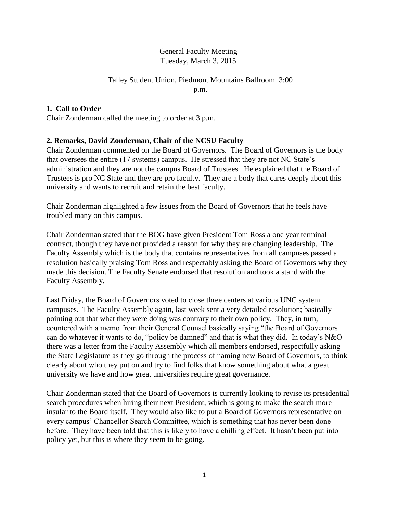# General Faculty Meeting Tuesday, March 3, 2015

### Talley Student Union, Piedmont Mountains Ballroom 3:00 p.m.

# **1. Call to Order**

Chair Zonderman called the meeting to order at 3 p.m.

# **2. Remarks, David Zonderman, Chair of the NCSU Faculty**

Chair Zonderman commented on the Board of Governors. The Board of Governors is the body that oversees the entire (17 systems) campus. He stressed that they are not NC State's administration and they are not the campus Board of Trustees. He explained that the Board of Trustees is pro NC State and they are pro faculty. They are a body that cares deeply about this university and wants to recruit and retain the best faculty.

Chair Zonderman highlighted a few issues from the Board of Governors that he feels have troubled many on this campus.

Chair Zonderman stated that the BOG have given President Tom Ross a one year terminal contract, though they have not provided a reason for why they are changing leadership. The Faculty Assembly which is the body that contains representatives from all campuses passed a resolution basically praising Tom Ross and respectably asking the Board of Governors why they made this decision. The Faculty Senate endorsed that resolution and took a stand with the Faculty Assembly.

Last Friday, the Board of Governors voted to close three centers at various UNC system campuses. The Faculty Assembly again, last week sent a very detailed resolution; basically pointing out that what they were doing was contrary to their own policy. They, in turn, countered with a memo from their General Counsel basically saying "the Board of Governors can do whatever it wants to do, "policy be damned" and that is what they did. In today's N&O there was a letter from the Faculty Assembly which all members endorsed, respectfully asking the State Legislature as they go through the process of naming new Board of Governors, to think clearly about who they put on and try to find folks that know something about what a great university we have and how great universities require great governance.

Chair Zonderman stated that the Board of Governors is currently looking to revise its presidential search procedures when hiring their next President, which is going to make the search more insular to the Board itself. They would also like to put a Board of Governors representative on every campus' Chancellor Search Committee, which is something that has never been done before. They have been told that this is likely to have a chilling effect. It hasn't been put into policy yet, but this is where they seem to be going.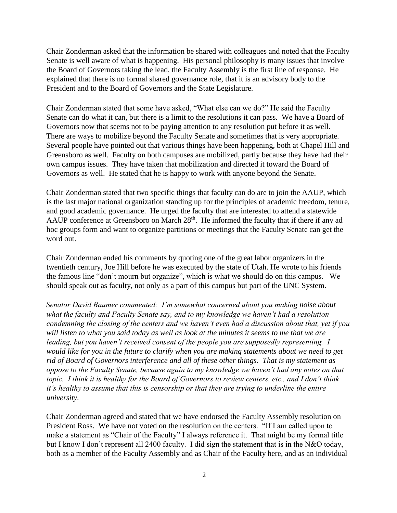Chair Zonderman asked that the information be shared with colleagues and noted that the Faculty Senate is well aware of what is happening. His personal philosophy is many issues that involve the Board of Governors taking the lead, the Faculty Assembly is the first line of response. He explained that there is no formal shared governance role, that it is an advisory body to the President and to the Board of Governors and the State Legislature.

Chair Zonderman stated that some have asked, "What else can we do?" He said the Faculty Senate can do what it can, but there is a limit to the resolutions it can pass. We have a Board of Governors now that seems not to be paying attention to any resolution put before it as well. There are ways to mobilize beyond the Faculty Senate and sometimes that is very appropriate. Several people have pointed out that various things have been happening, both at Chapel Hill and Greensboro as well. Faculty on both campuses are mobilized, partly because they have had their own campus issues. They have taken that mobilization and directed it toward the Board of Governors as well. He stated that he is happy to work with anyone beyond the Senate.

Chair Zonderman stated that two specific things that faculty can do are to join the AAUP, which is the last major national organization standing up for the principles of academic freedom, tenure, and good academic governance. He urged the faculty that are interested to attend a statewide AAUP conference at Greensboro on March 28<sup>th</sup>. He informed the faculty that if there if any ad hoc groups form and want to organize partitions or meetings that the Faculty Senate can get the word out.

Chair Zonderman ended his comments by quoting one of the great labor organizers in the twentieth century, Joe Hill before he was executed by the state of Utah. He wrote to his friends the famous line "don't mourn but organize", which is what we should do on this campus. We should speak out as faculty, not only as a part of this campus but part of the UNC System.

*Senator David Baumer commented: I'm somewhat concerned about you making noise about what the faculty and Faculty Senate say, and to my knowledge we haven't had a resolution condemning the closing of the centers and we haven't even had a discussion about that, yet if you will listen to what you said today as well as look at the minutes it seems to me that we are leading, but you haven't received consent of the people you are supposedly representing. I would like for you in the future to clarify when you are making statements about we need to get rid of Board of Governors interference and all of these other things. That is my statement as oppose to the Faculty Senate, because again to my knowledge we haven't had any notes on that topic. I think it is healthy for the Board of Governors to review centers, etc., and I don't think it's healthy to assume that this is censorship or that they are trying to underline the entire university.* 

Chair Zonderman agreed and stated that we have endorsed the Faculty Assembly resolution on President Ross. We have not voted on the resolution on the centers. "If I am called upon to make a statement as "Chair of the Faculty" I always reference it. That might be my formal title but I know I don't represent all 2400 faculty. I did sign the statement that is in the N&O today, both as a member of the Faculty Assembly and as Chair of the Faculty here, and as an individual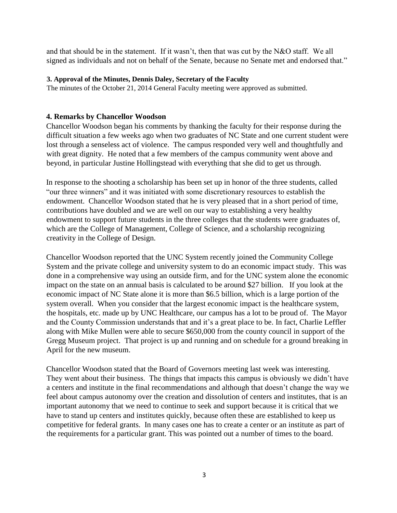and that should be in the statement. If it wasn't, then that was cut by the N&O staff. We all signed as individuals and not on behalf of the Senate, because no Senate met and endorsed that."

#### **3. Approval of the Minutes, Dennis Daley, Secretary of the Faculty**

The minutes of the October 21, 2014 General Faculty meeting were approved as submitted.

### **4. Remarks by Chancellor Woodson**

Chancellor Woodson began his comments by thanking the faculty for their response during the difficult situation a few weeks ago when two graduates of NC State and one current student were lost through a senseless act of violence. The campus responded very well and thoughtfully and with great dignity. He noted that a few members of the campus community went above and beyond, in particular Justine Hollingstead with everything that she did to get us through.

In response to the shooting a scholarship has been set up in honor of the three students, called "our three winners" and it was initiated with some discretionary resources to establish the endowment. Chancellor Woodson stated that he is very pleased that in a short period of time, contributions have doubled and we are well on our way to establishing a very healthy endowment to support future students in the three colleges that the students were graduates of, which are the College of Management, College of Science, and a scholarship recognizing creativity in the College of Design.

Chancellor Woodson reported that the UNC System recently joined the Community College System and the private college and university system to do an economic impact study. This was done in a comprehensive way using an outside firm, and for the UNC system alone the economic impact on the state on an annual basis is calculated to be around \$27 billion. If you look at the economic impact of NC State alone it is more than \$6.5 billion, which is a large portion of the system overall. When you consider that the largest economic impact is the healthcare system, the hospitals, etc. made up by UNC Healthcare, our campus has a lot to be proud of. The Mayor and the County Commission understands that and it's a great place to be. In fact, Charlie Leffler along with Mike Mullen were able to secure \$650,000 from the county council in support of the Gregg Museum project. That project is up and running and on schedule for a ground breaking in April for the new museum.

Chancellor Woodson stated that the Board of Governors meeting last week was interesting. They went about their business. The things that impacts this campus is obviously we didn't have a centers and institute in the final recommendations and although that doesn't change the way we feel about campus autonomy over the creation and dissolution of centers and institutes, that is an important autonomy that we need to continue to seek and support because it is critical that we have to stand up centers and institutes quickly, because often these are established to keep us competitive for federal grants. In many cases one has to create a center or an institute as part of the requirements for a particular grant. This was pointed out a number of times to the board.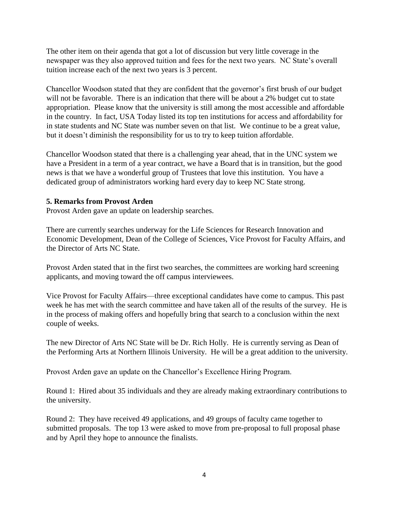The other item on their agenda that got a lot of discussion but very little coverage in the newspaper was they also approved tuition and fees for the next two years. NC State's overall tuition increase each of the next two years is 3 percent.

Chancellor Woodson stated that they are confident that the governor's first brush of our budget will not be favorable. There is an indication that there will be about a 2% budget cut to state appropriation. Please know that the university is still among the most accessible and affordable in the country. In fact, USA Today listed its top ten institutions for access and affordability for in state students and NC State was number seven on that list. We continue to be a great value, but it doesn't diminish the responsibility for us to try to keep tuition affordable.

Chancellor Woodson stated that there is a challenging year ahead, that in the UNC system we have a President in a term of a year contract, we have a Board that is in transition, but the good news is that we have a wonderful group of Trustees that love this institution. You have a dedicated group of administrators working hard every day to keep NC State strong.

### **5. Remarks from Provost Arden**

Provost Arden gave an update on leadership searches.

There are currently searches underway for the Life Sciences for Research Innovation and Economic Development, Dean of the College of Sciences, Vice Provost for Faculty Affairs, and the Director of Arts NC State.

Provost Arden stated that in the first two searches, the committees are working hard screening applicants, and moving toward the off campus interviewees.

Vice Provost for Faculty Affairs—three exceptional candidates have come to campus. This past week he has met with the search committee and have taken all of the results of the survey. He is in the process of making offers and hopefully bring that search to a conclusion within the next couple of weeks.

The new Director of Arts NC State will be Dr. Rich Holly. He is currently serving as Dean of the Performing Arts at Northern Illinois University. He will be a great addition to the university.

Provost Arden gave an update on the Chancellor's Excellence Hiring Program.

Round 1: Hired about 35 individuals and they are already making extraordinary contributions to the university.

Round 2: They have received 49 applications, and 49 groups of faculty came together to submitted proposals. The top 13 were asked to move from pre-proposal to full proposal phase and by April they hope to announce the finalists.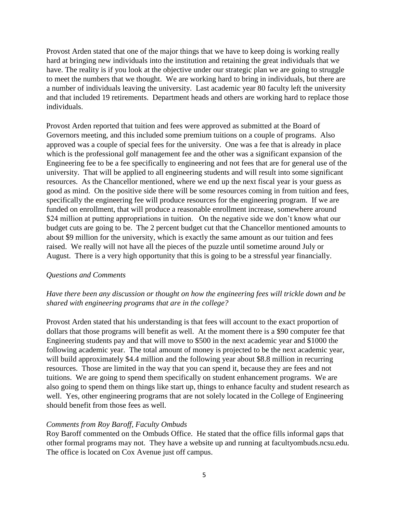Provost Arden stated that one of the major things that we have to keep doing is working really hard at bringing new individuals into the institution and retaining the great individuals that we have. The reality is if you look at the objective under our strategic plan we are going to struggle to meet the numbers that we thought. We are working hard to bring in individuals, but there are a number of individuals leaving the university. Last academic year 80 faculty left the university and that included 19 retirements. Department heads and others are working hard to replace those individuals.

Provost Arden reported that tuition and fees were approved as submitted at the Board of Governors meeting, and this included some premium tuitions on a couple of programs. Also approved was a couple of special fees for the university. One was a fee that is already in place which is the professional golf management fee and the other was a significant expansion of the Engineering fee to be a fee specifically to engineering and not fees that are for general use of the university. That will be applied to all engineering students and will result into some significant resources. As the Chancellor mentioned, where we end up the next fiscal year is your guess as good as mind. On the positive side there will be some resources coming in from tuition and fees, specifically the engineering fee will produce resources for the engineering program. If we are funded on enrollment, that will produce a reasonable enrollment increase, somewhere around \$24 million at putting appropriations in tuition. On the negative side we don't know what our budget cuts are going to be. The 2 percent budget cut that the Chancellor mentioned amounts to about \$9 million for the university, which is exactly the same amount as our tuition and fees raised. We really will not have all the pieces of the puzzle until sometime around July or August. There is a very high opportunity that this is going to be a stressful year financially.

#### *Questions and Comments*

### *Have there been any discussion or thought on how the engineering fees will trickle down and be shared with engineering programs that are in the college?*

Provost Arden stated that his understanding is that fees will account to the exact proportion of dollars that those programs will benefit as well. At the moment there is a \$90 computer fee that Engineering students pay and that will move to \$500 in the next academic year and \$1000 the following academic year. The total amount of money is projected to be the next academic year, will build approximately \$4.4 million and the following year about \$8.8 million in recurring resources. Those are limited in the way that you can spend it, because they are fees and not tuitions. We are going to spend them specifically on student enhancement programs. We are also going to spend them on things like start up, things to enhance faculty and student research as well. Yes, other engineering programs that are not solely located in the College of Engineering should benefit from those fees as well.

#### *Comments from Roy Baroff, Faculty Ombuds*

Roy Baroff commented on the Ombuds Office. He stated that the office fills informal gaps that other formal programs may not. They have a website up and running at facultyombuds.ncsu.edu. The office is located on Cox Avenue just off campus.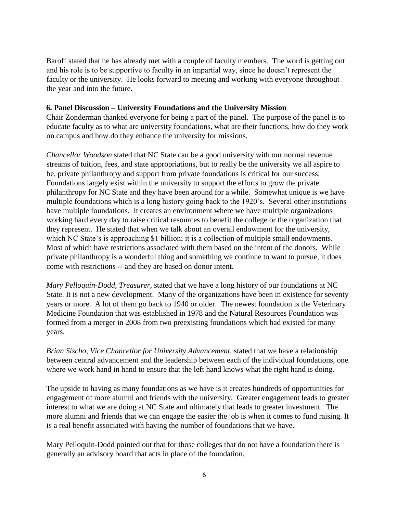Baroff stated that he has already met with a couple of faculty members. The word is getting out and his role is to be supportive to faculty in an impartial way, since he doesn't represent the faculty or the university. He looks forward to meeting and working with everyone throughout the year and into the future.

### **6. Panel Discussion – University Foundations and the University Mission**

Chair Zonderman thanked everyone for being a part of the panel. The purpose of the panel is to educate faculty as to what are university foundations, what are their functions, how do they work on campus and how do they enhance the university for missions.

*Chancellor Woodson* stated that NC State can be a good university with our normal revenue streams of tuition, fees, and state appropriations, but to really be the university we all aspire to be, private philanthropy and support from private foundations is critical for our success. Foundations largely exist within the university to support the efforts to grow the private philanthropy for NC State and they have been around for a while. Somewhat unique is we have multiple foundations which is a long history going back to the 1920's. Several other institutions have multiple foundations. It creates an environment where we have multiple organizations working hard every day to raise critical resources to benefit the college or the organization that they represent. He stated that when we talk about an overall endowment for the university, which NC State's is approaching \$1 billion; it is a collection of multiple small endowments. Most of which have restrictions associated with them based on the intent of the donors. While private philanthropy is a wonderful thing and something we continue to want to pursue, it does come with restrictions -- and they are based on donor intent.

*Mary Pelloquin-Dodd, Treasurer*, stated that we have a long history of our foundations at NC State. It is not a new development. Many of the organizations have been in existence for seventy years or more. A lot of them go back to 1940 or older. The newest foundation is the Veterinary Medicine Foundation that was established in 1978 and the Natural Resources Foundation was formed from a merger in 2008 from two preexisting foundations which had existed for many years.

*Brian Sischo, Vice Chancellor for University Advancement,* stated that we have a relationship between central advancement and the leadership between each of the individual foundations, one where we work hand in hand to ensure that the left hand knows what the right hand is doing.

The upside to having as many foundations as we have is it creates hundreds of opportunities for engagement of more alumni and friends with the university. Greater engagement leads to greater interest to what we are doing at NC State and ultimately that leads to greater investment. The more alumni and friends that we can engage the easier the job is when it comes to fund raising. It is a real benefit associated with having the number of foundations that we have.

Mary Pelloquin-Dodd pointed out that for those colleges that do not have a foundation there is generally an advisory board that acts in place of the foundation.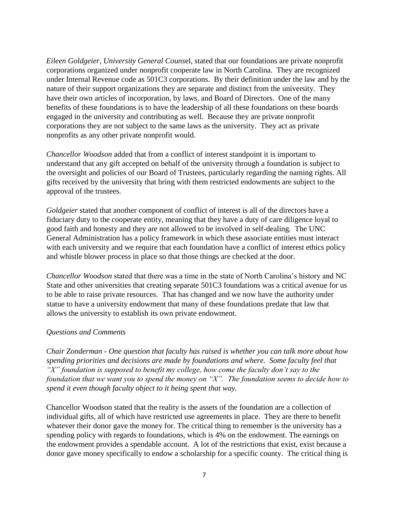*Eileen Goldgeier, University General Couns*el, stated that our foundations are private nonprofit corporations organized under nonprofit cooperate law in North Carolina. They are recognized under Internal Revenue code as 501C3 corporations. By their definition under the law and by the nature of their support organizations they are separate and distinct from the university. They have their own articles of incorporation, by laws, and Board of Directors. One of the many benefits of these foundations is to have the leadership of all these foundations on these boards engaged in the university and contributing as well. Because they are private nonprofit corporations they are not subject to the same laws as the university. They act as private nonprofits as any other private nonprofit would.

*Chancellor Woodson* added that from a conflict of interest standpoint it is important to understand that any gift accepted on behalf of the university through a foundation is subject to the oversight and policies of our Board of Trustees, particularly regarding the naming rights. All gifts received by the university that bring with them restricted endowments are subject to the approval of the trustees.

*Goldgeier* stated that another component of conflict of interest is all of the directors have a fiduciary duty to the cooperate entity, meaning that they have a duty of care diligence loyal to good faith and honesty and they are not allowed to be involved in self-dealing. The UNC General Administration has a policy framework in which these associate entities must interact with each university and we require that each foundation have a conflict of interest ethics policy and whistle blower process in place so that those things are checked at the door.

*Chancellor Woodson* stated that there was a time in the state of North Carolina's history and NC State and other universities that creating separate 501C3 foundations was a critical avenue for us to be able to raise private resources. That has changed and we now have the authority under statue to have a university endowment that many of these foundations predate that law that allows the university to establish its own private endowment.

### *Questions and Comments*

*Chair Zonderman - One question that faculty has raised is whether you can talk more about how spending priorities and decisions are made by foundations and where. Some faculty feel that "X" foundation is supposed to benefit my college, how come the faculty don't say to the foundation that we want you to spend the money on "X". The foundation seems to decide how to spend it even though faculty object to it being spent that way.* 

Chancellor Woodson stated that the reality is the assets of the foundation are a collection of individual gifts, all of which have restricted use agreements in place. They are there to benefit whatever their donor gave the money for. The critical thing to remember is the university has a spending policy with regards to foundations, which is 4% on the endowment. The earnings on the endowment provides a spendable account. A lot of the restrictions that exist, exist because a donor gave money specifically to endow a scholarship for a specific county. The critical thing is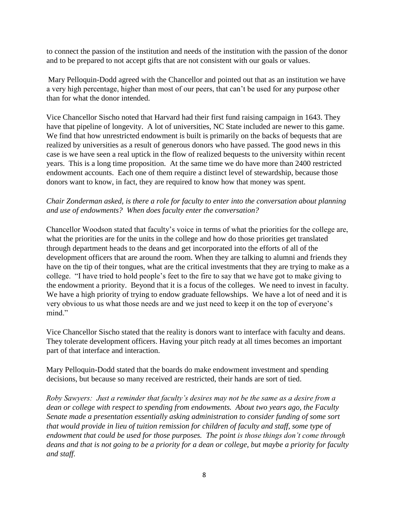to connect the passion of the institution and needs of the institution with the passion of the donor and to be prepared to not accept gifts that are not consistent with our goals or values.

Mary Pelloquin-Dodd agreed with the Chancellor and pointed out that as an institution we have a very high percentage, higher than most of our peers, that can't be used for any purpose other than for what the donor intended.

Vice Chancellor Sischo noted that Harvard had their first fund raising campaign in 1643. They have that pipeline of longevity. A lot of universities, NC State included are newer to this game. We find that how unrestricted endowment is built is primarily on the backs of bequests that are realized by universities as a result of generous donors who have passed. The good news in this case is we have seen a real uptick in the flow of realized bequests to the university within recent years. This is a long time proposition. At the same time we do have more than 2400 restricted endowment accounts. Each one of them require a distinct level of stewardship, because those donors want to know, in fact, they are required to know how that money was spent.

# *Chair Zonderman asked, is there a role for faculty to enter into the conversation about planning and use of endowments? When does faculty enter the conversation?*

Chancellor Woodson stated that faculty's voice in terms of what the priorities for the college are, what the priorities are for the units in the college and how do those priorities get translated through department heads to the deans and get incorporated into the efforts of all of the development officers that are around the room. When they are talking to alumni and friends they have on the tip of their tongues, what are the critical investments that they are trying to make as a college. "I have tried to hold people's feet to the fire to say that we have got to make giving to the endowment a priority. Beyond that it is a focus of the colleges. We need to invest in faculty. We have a high priority of trying to endow graduate fellowships. We have a lot of need and it is very obvious to us what those needs are and we just need to keep it on the top of everyone's mind."

Vice Chancellor Sischo stated that the reality is donors want to interface with faculty and deans. They tolerate development officers. Having your pitch ready at all times becomes an important part of that interface and interaction.

Mary Pelloquin-Dodd stated that the boards do make endowment investment and spending decisions, but because so many received are restricted, their hands are sort of tied.

*Roby Sawyers: Just a reminder that faculty's desires may not be the same as a desire from a dean or college with respect to spending from endowments. About two years ago, the Faculty Senate made a presentation essentially asking administration to consider funding of some sort that would provide in lieu of tuition remission for children of faculty and staff, some type of endowment that could be used for those purposes. The point is those things don't come through deans and that is not going to be a priority for a dean or college, but maybe a priority for faculty and staff.*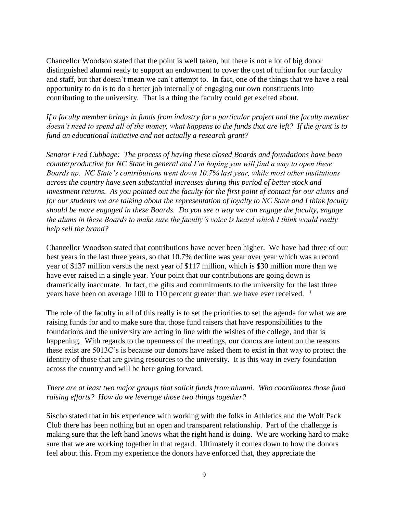Chancellor Woodson stated that the point is well taken, but there is not a lot of big donor distinguished alumni ready to support an endowment to cover the cost of tuition for our faculty and staff, but that doesn't mean we can't attempt to. In fact, one of the things that we have a real opportunity to do is to do a better job internally of engaging our own constituents into contributing to the university. That is a thing the faculty could get excited about.

*If a faculty member brings in funds from industry for a particular project and the faculty member doesn't need to spend all of the money, what happens to the funds that are left? If the grant is to fund an educational initiative and not actually a research grant?* 

*Senator Fred Cubbage: The process of having these closed Boards and foundations have been counterproductive for NC State in general and I'm hoping you will find a way to open these Boards up. NC State's contributions went down 10.7% last year, while most other institutions across the country have seen substantial increases during this period of better stock and investment returns. As you pointed out the faculty for the first point of contact for our alums and for our students we are talking about the representation of loyalty to NC State and I think faculty should be more engaged in these Boards. Do you see a way we can engage the faculty, engage the alums in these Boards to make sure the faculty's voice is heard which I think would really help sell the brand?* 

Chancellor Woodson stated that contributions have never been higher. We have had three of our best years in the last three years, so that 10.7% decline was year over year which was a record year of \$137 million versus the next year of \$117 million, which is \$30 million more than we have ever raised in a single year. Your point that our contributions are going down is dramatically inaccurate. In fact, the gifts and commitments to the university for the last three years have been on average 100 to 110 percent greater than we have ever received. <sup>i</sup>

The role of the faculty in all of this really is to set the priorities to set the agenda for what we are raising funds for and to make sure that those fund raisers that have responsibilities to the foundations and the university are acting in line with the wishes of the college, and that is happening. With regards to the openness of the meetings, our donors are intent on the reasons these exist are 5013C's is because our donors have asked them to exist in that way to protect the identity of those that are giving resources to the university. It is this way in every foundation across the country and will be here going forward.

# *There are at least two major groups that solicit funds from alumni. Who coordinates those fund raising efforts? How do we leverage those two things together?*

Sischo stated that in his experience with working with the folks in Athletics and the Wolf Pack Club there has been nothing but an open and transparent relationship. Part of the challenge is making sure that the left hand knows what the right hand is doing. We are working hard to make sure that we are working together in that regard. Ultimately it comes down to how the donors feel about this. From my experience the donors have enforced that, they appreciate the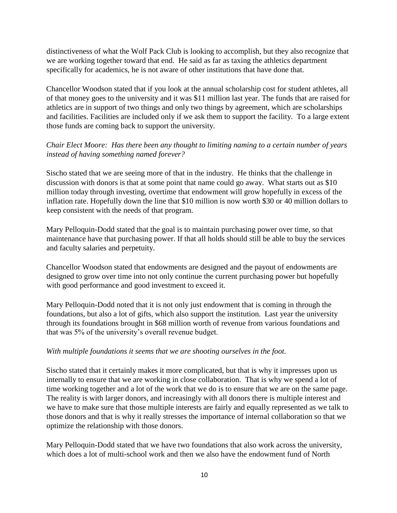distinctiveness of what the Wolf Pack Club is looking to accomplish, but they also recognize that we are working together toward that end. He said as far as taxing the athletics department specifically for academics, he is not aware of other institutions that have done that.

Chancellor Woodson stated that if you look at the annual scholarship cost for student athletes, all of that money goes to the university and it was \$11 million last year. The funds that are raised for athletics are in support of two things and only two things by agreement, which are scholarships and facilities. Facilities are included only if we ask them to support the facility. To a large extent those funds are coming back to support the university.

# *Chair Elect Moore: Has there been any thought to limiting naming to a certain number of years instead of having something named forever?*

Sischo stated that we are seeing more of that in the industry. He thinks that the challenge in discussion with donors is that at some point that name could go away. What starts out as \$10 million today through investing, overtime that endowment will grow hopefully in excess of the inflation rate. Hopefully down the line that \$10 million is now worth \$30 or 40 million dollars to keep consistent with the needs of that program.

Mary Pelloquin-Dodd stated that the goal is to maintain purchasing power over time, so that maintenance have that purchasing power. If that all holds should still be able to buy the services and faculty salaries and perpetuity.

Chancellor Woodson stated that endowments are designed and the payout of endowments are designed to grow over time into not only continue the current purchasing power but hopefully with good performance and good investment to exceed it.

Mary Pelloquin-Dodd noted that it is not only just endowment that is coming in through the foundations, but also a lot of gifts, which also support the institution. Last year the university through its foundations brought in \$68 million worth of revenue from various foundations and that was 5% of the university's overall revenue budget.

# *With multiple foundations it seems that we are shooting ourselves in the foot.*

Sischo stated that it certainly makes it more complicated, but that is why it impresses upon us internally to ensure that we are working in close collaboration. That is why we spend a lot of time working together and a lot of the work that we do is to ensure that we are on the same page. The reality is with larger donors, and increasingly with all donors there is multiple interest and we have to make sure that those multiple interests are fairly and equally represented as we talk to those donors and that is why it really stresses the importance of internal collaboration so that we optimize the relationship with those donors.

Mary Pelloquin-Dodd stated that we have two foundations that also work across the university, which does a lot of multi-school work and then we also have the endowment fund of North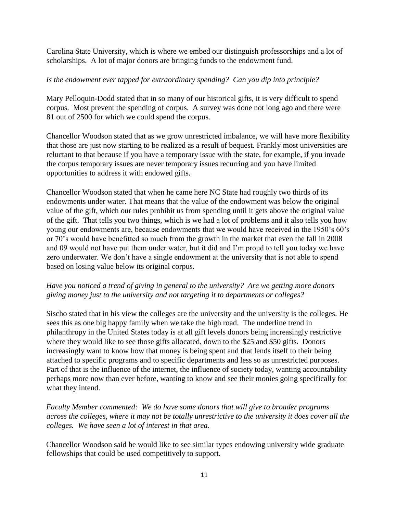Carolina State University, which is where we embed our distinguish professorships and a lot of scholarships. A lot of major donors are bringing funds to the endowment fund.

# *Is the endowment ever tapped for extraordinary spending? Can you dip into principle?*

Mary Pelloquin-Dodd stated that in so many of our historical gifts, it is very difficult to spend corpus. Most prevent the spending of corpus. A survey was done not long ago and there were 81 out of 2500 for which we could spend the corpus.

Chancellor Woodson stated that as we grow unrestricted imbalance, we will have more flexibility that those are just now starting to be realized as a result of bequest. Frankly most universities are reluctant to that because if you have a temporary issue with the state, for example, if you invade the corpus temporary issues are never temporary issues recurring and you have limited opportunities to address it with endowed gifts.

Chancellor Woodson stated that when he came here NC State had roughly two thirds of its endowments under water. That means that the value of the endowment was below the original value of the gift, which our rules prohibit us from spending until it gets above the original value of the gift. That tells you two things, which is we had a lot of problems and it also tells you how young our endowments are, because endowments that we would have received in the 1950's 60's or 70's would have benefitted so much from the growth in the market that even the fall in 2008 and 09 would not have put them under water, but it did and I'm proud to tell you today we have zero underwater. We don't have a single endowment at the university that is not able to spend based on losing value below its original corpus.

# *Have you noticed a trend of giving in general to the university? Are we getting more donors giving money just to the university and not targeting it to departments or colleges?*

Sischo stated that in his view the colleges are the university and the university is the colleges. He sees this as one big happy family when we take the high road. The underline trend in philanthropy in the United States today is at all gift levels donors being increasingly restrictive where they would like to see those gifts allocated, down to the \$25 and \$50 gifts. Donors increasingly want to know how that money is being spent and that lends itself to their being attached to specific programs and to specific departments and less so as unrestricted purposes. Part of that is the influence of the internet, the influence of society today, wanting accountability perhaps more now than ever before, wanting to know and see their monies going specifically for what they intend.

*Faculty Member commented: We do have some donors that will give to broader programs across the colleges, where it may not be totally unrestrictive to the university it does cover all the colleges. We have seen a lot of interest in that area.* 

Chancellor Woodson said he would like to see similar types endowing university wide graduate fellowships that could be used competitively to support.